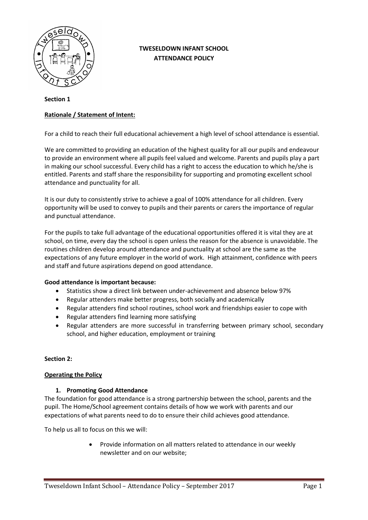

## **TWESELDOWN INFANT SCHOOL ATTENDANCE POLICY**

### **Section 1**

## **Rationale / Statement of Intent:**

For a child to reach their full educational achievement a high level of school attendance is essential.

We are committed to providing an education of the highest quality for all our pupils and endeavour to provide an environment where all pupils feel valued and welcome. Parents and pupils play a part in making our school successful. Every child has a right to access the education to which he/she is entitled. Parents and staff share the responsibility for supporting and promoting excellent school attendance and punctuality for all.

It is our duty to consistently strive to achieve a goal of 100% attendance for all children. Every opportunity will be used to convey to pupils and their parents or carers the importance of regular and punctual attendance.

For the pupils to take full advantage of the educational opportunities offered it is vital they are at school, on time, every day the school is open unless the reason for the absence is unavoidable. The routines children develop around attendance and punctuality at school are the same as the expectations of any future employer in the world of work. High attainment, confidence with peers and staff and future aspirations depend on good attendance.

## **Good attendance is important because:**

- Statistics show a direct link between under-achievement and absence below 97%
- Regular attenders make better progress, both socially and academically
- Regular attenders find school routines, school work and friendships easier to cope with
- Regular attenders find learning more satisfying
- Regular attenders are more successful in transferring between primary school, secondary school, and higher education, employment or training

### **Section 2:**

### **Operating the Policy**

### **1. Promoting Good Attendance**

The foundation for good attendance is a strong partnership between the school, parents and the pupil. The Home/School agreement contains details of how we work with parents and our expectations of what parents need to do to ensure their child achieves good attendance.

To help us all to focus on this we will:

 Provide information on all matters related to attendance in our weekly newsletter and on our website;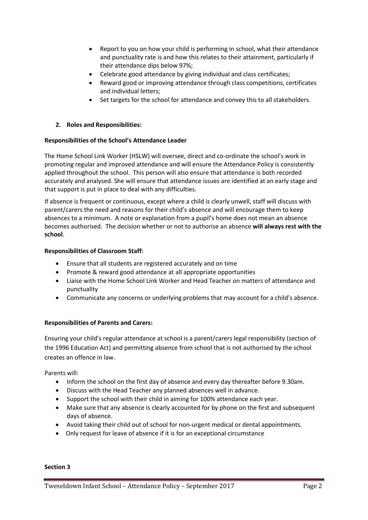- Report to you on how your child is performing in school, what their attendance and punctuality rate is and how this relates to their attainment, particularly if their attendance dips below 97%;
- Celebrate good attendance by giving individual and class certificates;
- Reward good or improving attendance through class competitions, certificates and individual letters;
- Set targets for the school for attendance and convey this to all stakeholders.

## **2. Roles and Responsibilities:**

## **Responsibilities of the School's Attendance Leader**

The Home School Link Worker (HSLW) will oversee, direct and co-ordinate the school's work in promoting regular and improved attendance and will ensure the Attendance Policy is consistently applied throughout the school. This person will also ensure that attendance is both recorded accurately and analysed. She will ensure that attendance issues are identified at an early stage and that support is put in place to deal with any difficulties.

If absence is frequent or continuous, except where a child is clearly unwell, staff will discuss with parent/carers the need and reasons for their child's absence and will encourage them to keep absences to a minimum. A note or explanation from a pupil's home does not mean an absence becomes authorised. The decision whether or not to authorise an absence **will always rest with the school**.

## **Responsibilities of Classroom Staff:**

- Ensure that all students are registered accurately and on time
- Promote & reward good attendance at all appropriate opportunities
- Liaise with the Home School Link Worker and Head Teacher on matters of attendance and punctuality
- Communicate any concerns or underlying problems that may account for a child's absence.

## **Responsibilities of Parents and Carers:**

Ensuring your child's regular attendance at school is a parent/carers legal responsibility (section of the 1996 Education Act) and permitting absence from school that is not authorised by the school creates an offence in law.

Parents will:

- Inform the school on the first day of absence and every day thereafter before 9.30am.
- Discuss with the Head Teacher any planned absences well in advance.
- Support the school with their child in aiming for 100% attendance each year.
- Make sure that any absence is clearly accounted for by phone on the first and subsequent days of absence.
- Avoid taking their child out of school for non-urgent medical or dental appointments.
- Only request for leave of absence if it is for an exceptional circumstance

#### **Section 3**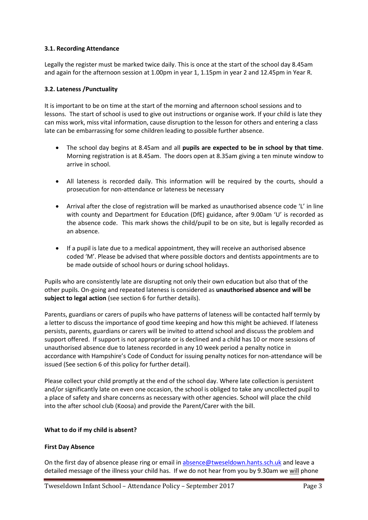## **3.1. Recording Attendance**

Legally the register must be marked twice daily. This is once at the start of the school day 8.45am and again for the afternoon session at 1.00pm in year 1, 1.15pm in year 2 and 12.45pm in Year R.

## **3.2. Lateness /Punctuality**

It is important to be on time at the start of the morning and afternoon school sessions and to lessons. The start of school is used to give out instructions or organise work. If your child is late they can miss work, miss vital information, cause disruption to the lesson for others and entering a class late can be embarrassing for some children leading to possible further absence.

- The school day begins at 8.45am and all **pupils are expected to be in school by that time**. Morning registration is at 8.45am. The doors open at 8.35am giving a ten minute window to arrive in school.
- All lateness is recorded daily. This information will be required by the courts, should a prosecution for non-attendance or lateness be necessary
- Arrival after the close of registration will be marked as unauthorised absence code 'L' in line with county and Department for Education (DfE) guidance, after 9.00am 'U' is recorded as the absence code. This mark shows the child/pupil to be on site, but is legally recorded as an absence.
- If a pupil is late due to a medical appointment, they will receive an authorised absence coded 'M'. Please be advised that where possible doctors and dentists appointments are to be made outside of school hours or during school holidays.

Pupils who are consistently late are disrupting not only their own education but also that of the other pupils. On-going and repeated lateness is considered as **unauthorised absence and will be subject to legal action** (see section 6 for further details).

Parents, guardians or carers of pupils who have patterns of lateness will be contacted half termly by a letter to discuss the importance of good time keeping and how this might be achieved. If lateness persists, parents, guardians or carers will be invited to attend school and discuss the problem and support offered. If support is not appropriate or is declined and a child has 10 or more sessions of unauthorised absence due to lateness recorded in any 10 week period a penalty notice in accordance with Hampshire's Code of Conduct for issuing penalty notices for non-attendance will be issued (See section 6 of this policy for further detail).

Please collect your child promptly at the end of the school day. Where late collection is persistent and/or significantly late on even one occasion, the school is obliged to take any uncollected pupil to a place of safety and share concerns as necessary with other agencies. School will place the child into the after school club (Koosa) and provide the Parent/Carer with the bill.

### **What to do if my child is absent?**

### **First Day Absence**

On the first day of absence please ring or email i[n absence@tweseldown.hants.sch.uk](mailto:absence@tweseldown.hants.sch.uk) and leave a detailed message of the illness your child has. If we do not hear from you by 9.30am we will phone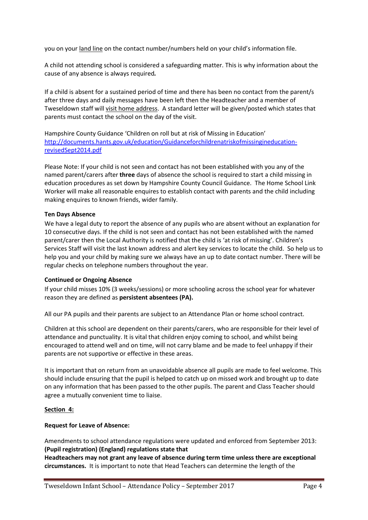you on your land line on the contact number/numbers held on your child's information file.

A child not attending school is considered a safeguarding matter. This is why information about the cause of any absence is always required*.*

If a child is absent for a sustained period of time and there has been no contact from the parent/s after three days and daily messages have been left then the Headteacher and a member of Tweseldown staff will visit home address. A standard letter will be given/posted which states that parents must contact the school on the day of the visit.

Hampshire County Guidance 'Children on roll but at risk of Missing in Education' [http://documents.hants.gov.uk/education/Guidanceforchildrenatriskofmissingineducation](http://documents.hants.gov.uk/education/Guidanceforchildrenatriskofmissingineducation-revisedSept2014.pdf)[revisedSept2014.pdf](http://documents.hants.gov.uk/education/Guidanceforchildrenatriskofmissingineducation-revisedSept2014.pdf)

Please Note: If your child is not seen and contact has not been established with you any of the named parent/carers after **three** days of absence the school is required to start a child missing in education procedures as set down by Hampshire County Council Guidance. The Home School Link Worker will make all reasonable enquires to establish contact with parents and the child including making enquires to known friends, wider family.

### **Ten Days Absence**

We have a legal duty to report the absence of any pupils who are absent without an explanation for 10 consecutive days. If the child is not seen and contact has not been established with the named parent/carer then the Local Authority is notified that the child is 'at risk of missing'. Children's Services Staff will visit the last known address and alert key services to locate the child. So help us to help you and your child by making sure we always have an up to date contact number. There will be regular checks on telephone numbers throughout the year.

### **Continued or Ongoing Absence**

If your child misses 10% (3 weeks/sessions) or more schooling across the school year for whatever reason they are defined as **persistent absentees (PA).**

All our PA pupils and their parents are subject to an Attendance Plan or home school contract.

Children at this school are dependent on their parents/carers, who are responsible for their level of attendance and punctuality. It is vital that children enjoy coming to school, and whilst being encouraged to attend well and on time, will not carry blame and be made to feel unhappy if their parents are not supportive or effective in these areas.

It is important that on return from an unavoidable absence all pupils are made to feel welcome. This should include ensuring that the pupil is helped to catch up on missed work and brought up to date on any information that has been passed to the other pupils. The parent and Class Teacher should agree a mutually convenient time to liaise.

### **Section 4:**

### **Request for Leave of Absence:**

Amendments to school attendance regulations were updated and enforced from September 2013: **(Pupil registration) (England) regulations state that**

**Headteachers may not grant any leave of absence during term time unless there are exceptional circumstances.** It is important to note that Head Teachers can determine the length of the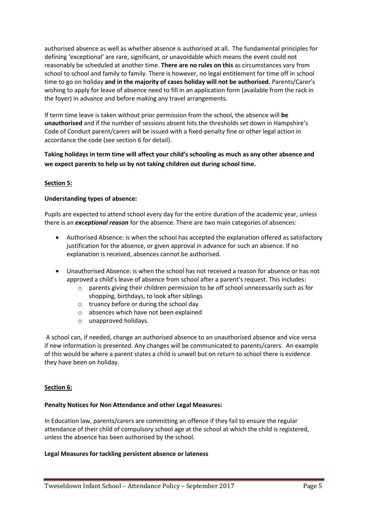authorised absence as well as whether absence is authorised at all. The fundamental principles for defining 'exceptional' are rare, significant, or unavoidable which means the event could not reasonably be scheduled at another time. **There are no rules on this** as circumstances vary from school to school and family to family. There is however, no legal entitlement for time off in school time to go on holiday **and in the majority of cases holiday will not be authorised.** Parents/Carer's wishing to apply for leave of absence need to fill in an application form (available from the rack in the foyer) in advance and before making any travel arrangements.

If term time leave is taken without prior permission from the school, the absence will **be unauthorised** and if the number of sessions absent hits the thresholds set down in Hampshire's Code of Conduct parent/carers will be issued with a fixed-penalty fine or other legal action in accordance the code (see section 6 for detail).

**Taking holidays in term time will affect your child's schooling as much as any other absence and we expect parents to help us by not taking children out during school time.**

## **Section 5:**

## **Understanding types of absence:**

Pupils are expected to attend school every day for the entire duration of the academic year, unless there is an *exceptional reason* for the absence. There are two main categories of absences:

- Authorised Absence: is when the school has accepted the explanation offered as satisfactory justification for the absence, or given approval in advance for such an absence. If no explanation is received, absences cannot be authorised.
- Unauthorised Absence: is when the school has not received a reason for absence or has not approved a child's leave of absence from school after a parent's request. This includes:
	- $\circ$  parents giving their children permission to be off school unnecessarily such as for shopping, birthdays, to look after siblings
	- o truancy before or during the school day
	- o absences which have not been explained
	- o unapproved holidays.

A school can, if needed, change an authorised absence to an unauthorised absence and vice versa if new information is presented. Any changes will be communicated to parents/carers. An example of this would be where a parent states a child is unwell but on return to school there is evidence they have been on holiday.

### **Section 6:**

### **Penalty Notices for Non Attendance and other Legal Measures:**

In Education law, parents/carers are committing an offence if they fail to ensure the regular attendance of their child of compulsory school age at the school at which the child is registered, unless the absence has been authorised by the school.

### **Legal Measures for tackling persistent absence or lateness**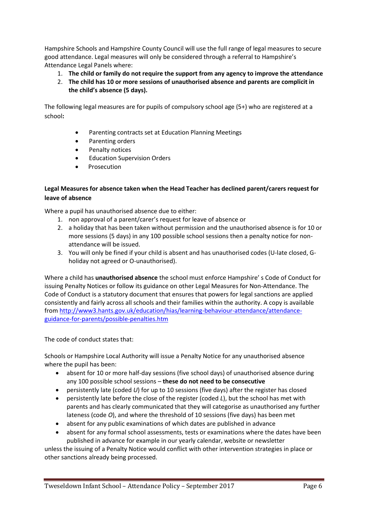Hampshire Schools and Hampshire County Council will use the full range of legal measures to secure good attendance. Legal measures will only be considered through a referral to Hampshire's Attendance Legal Panels where:

- 1. **The child or family do not require the support from any agency to improve the attendance**
- 2. **The child has 10 or more sessions of unauthorised absence and parents are complicit in the child's absence (5 days).**

The following legal measures are for pupils of compulsory school age (5+) who are registered at a school**:**

- Parenting contracts set at Education Planning Meetings
- Parenting orders
- Penalty notices
- Education Supervision Orders
- **Prosecution**

## **Legal Measures for absence taken when the Head Teacher has declined parent/carers request for leave of absence**

Where a pupil has unauthorised absence due to either:

- 1. non approval of a parent/carer's request for leave of absence or
- 2. a holiday that has been taken without permission and the unauthorised absence is for 10 or more sessions (5 days) in any 100 possible school sessions then a penalty notice for nonattendance will be issued.
- 3. You will only be fined if your child is absent and has unauthorised codes (U-late closed, Gholiday not agreed or O-unauthorised).

Where a child has **unauthorised absence** the school must enforce Hampshire' s Code of Conduct for issuing Penalty Notices or follow its guidance on other Legal Measures for Non-Attendance. The Code of Conduct is a statutory document that ensures that powers for legal sanctions are applied consistently and fairly across all schools and their families within the authority. A copy is available from [http://www3.hants.gov.uk/education/hias/learning-behaviour-attendance/attendance](http://www3.hants.gov.uk/education/hias/learning-behaviour-attendance/attendance-guidance-for-parents/possible-penalties.htm)[guidance-for-parents/possible-penalties.htm](http://www3.hants.gov.uk/education/hias/learning-behaviour-attendance/attendance-guidance-for-parents/possible-penalties.htm)

The code of conduct states that:

Schools or Hampshire Local Authority will issue a Penalty Notice for any unauthorised absence where the pupil has been:

- absent for 10 or more half-day sessions (five school days) of unauthorised absence during any 100 possible school sessions – **these do not need to be consecutive**
- persistently late (coded *U*) for up to 10 sessions (five days) after the register has closed
- persistently late before the close of the register (coded *L*), but the school has met with parents and has clearly communicated that they will categorise as unauthorised any further lateness (code *O*), and where the threshold of 10 sessions (five days) has been met
- absent for any public examinations of which dates are published in advance
- absent for any formal school assessments, tests or examinations where the dates have been published in advance for example in our yearly calendar, website or newsletter

unless the issuing of a Penalty Notice would conflict with other intervention strategies in place or other sanctions already being processed.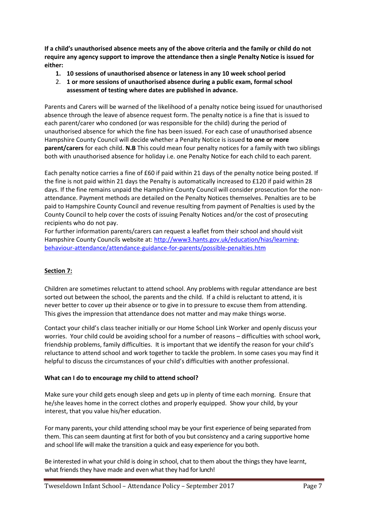**If a child's unauthorised absence meets any of the above criteria and the family or child do not require any agency support to improve the attendance then a single Penalty Notice is issued for either:**

- **1. 10 sessions of unauthorised absence or lateness in any 10 week school period**
- 2. **1 or more sessions of unauthorised absence during a public exam, formal school assessment of testing where dates are published in advance.**

Parents and Carers will be warned of the likelihood of a penalty notice being issued for unauthorised absence through the leave of absence request form. The penalty notice is a fine that is issued to each parent/carer who condoned (or was responsible for the child) during the period of unauthorised absence for which the fine has been issued. For each case of unauthorised absence Hampshire County Council will decide whether a Penalty Notice is issued **to one or more parent/carers** for each child. **N.B** This could mean four penalty notices for a family with two siblings both with unauthorised absence for holiday i.e. one Penalty Notice for each child to each parent.

Each penalty notice carries a fine of £60 if paid within 21 days of the penalty notice being posted. If the fine is not paid within 21 days the Penalty is automatically increased to £120 if paid within 28 days. If the fine remains unpaid the Hampshire County Council will consider prosecution for the nonattendance. Payment methods are detailed on the Penalty Notices themselves. Penalties are to be paid to Hampshire County Council and revenue resulting from payment of Penalties is used by the County Council to help cover the costs of issuing Penalty Notices and/or the cost of prosecuting recipients who do not pay.

For further information parents/carers can request a leaflet from their school and should visit Hampshire County Councils website at: [http://www3.hants.gov.uk/education/hias/learning](http://www3.hants.gov.uk/education/hias/learning-behaviour-attendance/attendance-guidance-for-parents/possible-penalties.htm)[behaviour-attendance/attendance-guidance-for-parents/possible-penalties.htm](http://www3.hants.gov.uk/education/hias/learning-behaviour-attendance/attendance-guidance-for-parents/possible-penalties.htm)

# **Section 7:**

Children are sometimes reluctant to attend school. Any problems with regular attendance are best sorted out between the school, the parents and the child. If a child is reluctant to attend, it is never better to cover up their absence or to give in to pressure to excuse them from attending. This gives the impression that attendance does not matter and may make things worse.

Contact your child's class teacher initially or our Home School Link Worker and openly discuss your worries. Your child could be avoiding school for a number of reasons – difficulties with school work, friendship problems, family difficulties. It is important that we identify the reason for your child's reluctance to attend school and work together to tackle the problem. In some cases you may find it helpful to discuss the circumstances of your child's difficulties with another professional.

## **What can I do to encourage my child to attend school?**

Make sure your child gets enough sleep and gets up in plenty of time each morning. Ensure that he/she leaves home in the correct clothes and properly equipped. Show your child, by your interest, that you value his/her education.

For many parents, your child attending school may be your first experience of being separated from them. This can seem daunting at first for both of you but consistency and a caring supportive home and school life will make the transition a quick and easy experience for you both.

Be interested in what your child is doing in school, chat to them about the things they have learnt, what friends they have made and even what they had for lunch!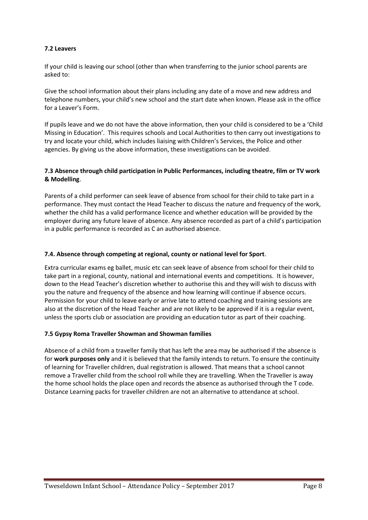## **7.2 Leavers**

If your child is leaving our school (other than when transferring to the junior school parents are asked to:

Give the school information about their plans including any date of a move and new address and telephone numbers, your child's new school and the start date when known. Please ask in the office for a Leaver's Form.

If pupils leave and we do not have the above information, then your child is considered to be a 'Child Missing in Education'. This requires schools and Local Authorities to then carry out investigations to try and locate your child, which includes liaising with Children's Services, the Police and other agencies. By giving us the above information, these investigations can be avoided.

## **7.3 Absence through child participation in Public Performances, including theatre, film or TV work & Modelling**.

Parents of a child performer can seek leave of absence from school for their child to take part in a performance. They must contact the Head Teacher to discuss the nature and frequency of the work, whether the child has a valid performance licence and whether education will be provided by the employer during any future leave of absence. Any absence recorded as part of a child's participation in a public performance is recorded as C an authorised absence.

## **7.4. Absence through competing at regional, county or national level for Sport**.

Extra curricular exams eg ballet, music etc can seek leave of absence from school for their child to take part in a regional, county, national and international events and competitions. It is however, down to the Head Teacher's discretion whether to authorise this and they will wish to discuss with you the nature and frequency of the absence and how learning will continue if absence occurs. Permission for your child to leave early or arrive late to attend coaching and training sessions are also at the discretion of the Head Teacher and are not likely to be approved if it is a regular event, unless the sports club or association are providing an education tutor as part of their coaching.

## **7.5 Gypsy Roma Traveller Showman and Showman families**

Absence of a child from a traveller family that has left the area may be authorised if the absence is for **work purposes only** and it is believed that the family intends to return. To ensure the continuity of learning for Traveller children, dual registration is allowed. That means that a school cannot remove a Traveller child from the school roll while they are travelling. When the Traveller is away the home school holds the place open and records the absence as authorised through the T code. Distance Learning packs for traveller children are not an alternative to attendance at school.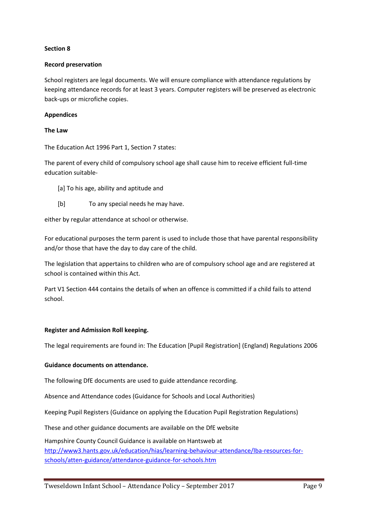## **Section 8**

### **Record preservation**

School registers are legal documents. We will ensure compliance with attendance regulations by keeping attendance records for at least 3 years. Computer registers will be preserved as electronic back-ups or microfiche copies.

## **Appendices**

### **The Law**

The Education Act 1996 Part 1, Section 7 states:

The parent of every child of compulsory school age shall cause him to receive efficient full-time education suitable-

- [a] To his age, ability and aptitude and
- [b] To any special needs he may have.

either by regular attendance at school or otherwise.

For educational purposes the term parent is used to include those that have parental responsibility and/or those that have the day to day care of the child.

The legislation that appertains to children who are of compulsory school age and are registered at school is contained within this Act.

Part V1 Section 444 contains the details of when an offence is committed if a child fails to attend school.

### **Register and Admission Roll keeping.**

The legal requirements are found in: The Education [Pupil Registration] (England) Regulations 2006

### **Guidance documents on attendance.**

The following DfE documents are used to guide attendance recording.

Absence and Attendance codes (Guidance for Schools and Local Authorities)

Keeping Pupil Registers (Guidance on applying the Education Pupil Registration Regulations)

These and other guidance documents are available on the DfE website

Hampshire County Council Guidance is available on Hantsweb at [http://www3.hants.gov.uk/education/hias/learning-behaviour-attendance/lba-resources-for](http://www3.hants.gov.uk/education/hias/learning-behaviour-attendance/lba-resources-for-schools/atten-guidance/attendance-guidance-for-schools.htm)[schools/atten-guidance/attendance-guidance-for-schools.htm](http://www3.hants.gov.uk/education/hias/learning-behaviour-attendance/lba-resources-for-schools/atten-guidance/attendance-guidance-for-schools.htm)